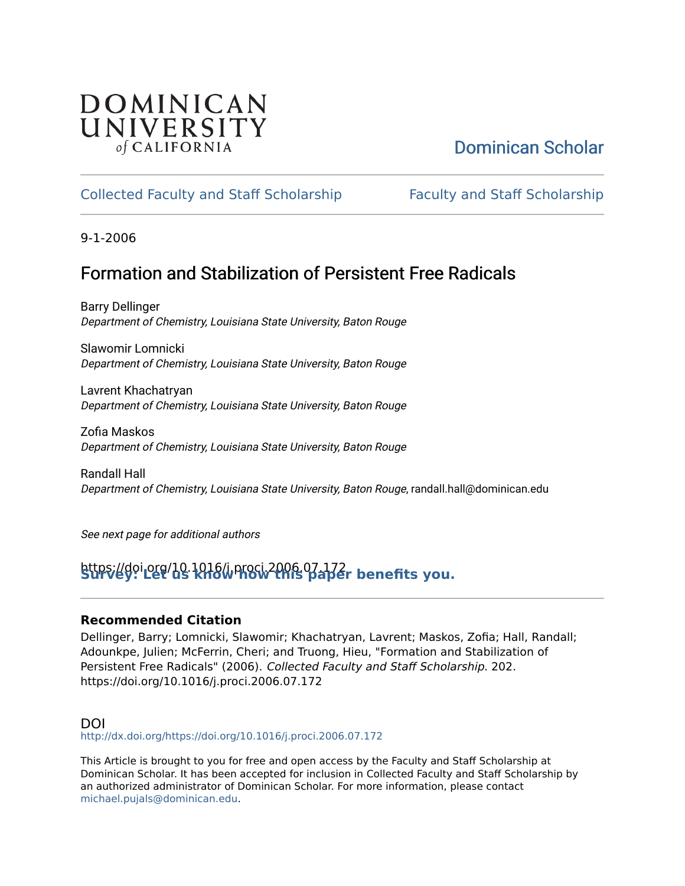# DOMINICAN UNIVERSITY of CALIFORNIA

# [Dominican Scholar](https://scholar.dominican.edu/)

# [Collected Faculty and Staff Scholarship](https://scholar.dominican.edu/all-faculty) [Faculty and Staff Scholarship](https://scholar.dominican.edu/faculty-scholarship)

9-1-2006

# Formation and Stabilization of Persistent Free Radicals

Barry Dellinger Department of Chemistry, Louisiana State University, Baton Rouge

Slawomir Lomnicki Department of Chemistry, Louisiana State University, Baton Rouge

Lavrent Khachatryan Department of Chemistry, Louisiana State University, Baton Rouge

Zofia Maskos Department of Chemistry, Louisiana State University, Baton Rouge

Randall Hall Department of Chemistry, Louisiana State University, Baton Rouge, randall.hall@dominican.edu

See next page for additional authors

# https://doi.org/10.1016/j.proci.2006.07.172 **[Survey: Let us know how this paper benefits you.](https://dominican.libwizard.com/dominican-scholar-feedback)**

# **Recommended Citation**

Dellinger, Barry; Lomnicki, Slawomir; Khachatryan, Lavrent; Maskos, Zofia; Hall, Randall; Adounkpe, Julien; McFerrin, Cheri; and Truong, Hieu, "Formation and Stabilization of Persistent Free Radicals" (2006). Collected Faculty and Staff Scholarship. 202. https://doi.org/10.1016/j.proci.2006.07.172

# DOI

<http://dx.doi.org/https://doi.org/10.1016/j.proci.2006.07.172>

This Article is brought to you for free and open access by the Faculty and Staff Scholarship at Dominican Scholar. It has been accepted for inclusion in Collected Faculty and Staff Scholarship by an authorized administrator of Dominican Scholar. For more information, please contact [michael.pujals@dominican.edu.](mailto:michael.pujals@dominican.edu)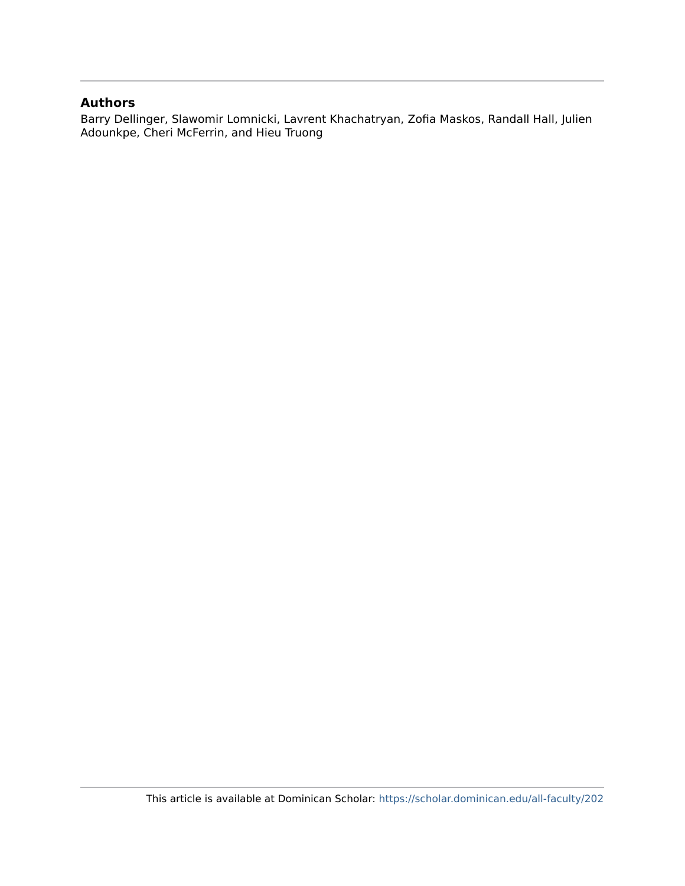# **Authors**

Barry Dellinger, Slawomir Lomnicki, Lavrent Khachatryan, Zofia Maskos, Randall Hall, Julien Adounkpe, Cheri McFerrin, and Hieu Truong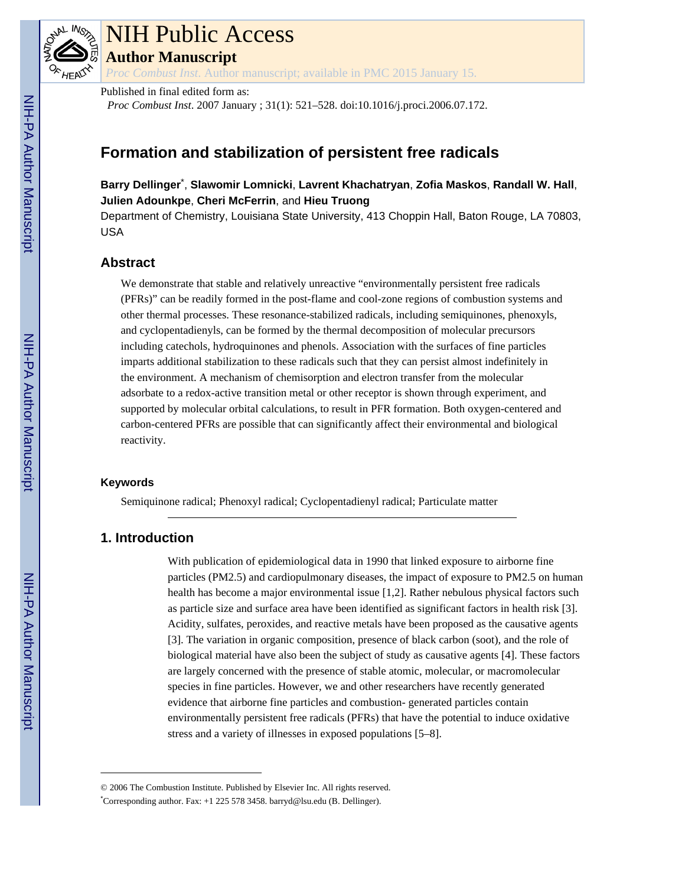

# NIH Public Access

**Author Manuscript**

*Proc Combust Inst*. Author manuscript; available in PMC 2015 January 15.

# Published in final edited form as:

*Proc Combust Inst*. 2007 January ; 31(1): 521–528. doi:10.1016/j.proci.2006.07.172.

# **Formation and stabilization of persistent free radicals**

# **Barry Dellinger**\* , **Slawomir Lomnicki**, **Lavrent Khachatryan**, **Zofia Maskos**, **Randall W. Hall**, **Julien Adounkpe**, **Cheri McFerrin**, and **Hieu Truong**

Department of Chemistry, Louisiana State University, 413 Choppin Hall, Baton Rouge, LA 70803, USA

# **Abstract**

We demonstrate that stable and relatively unreactive "environmentally persistent free radicals (PFRs)" can be readily formed in the post-flame and cool-zone regions of combustion systems and other thermal processes. These resonance-stabilized radicals, including semiquinones, phenoxyls, and cyclopentadienyls, can be formed by the thermal decomposition of molecular precursors including catechols, hydroquinones and phenols. Association with the surfaces of fine particles imparts additional stabilization to these radicals such that they can persist almost indefinitely in the environment. A mechanism of chemisorption and electron transfer from the molecular adsorbate to a redox-active transition metal or other receptor is shown through experiment, and supported by molecular orbital calculations, to result in PFR formation. Both oxygen-centered and carbon-centered PFRs are possible that can significantly affect their environmental and biological reactivity.

#### **Keywords**

Semiquinone radical; Phenoxyl radical; Cyclopentadienyl radical; Particulate matter

# **1. Introduction**

With publication of epidemiological data in 1990 that linked exposure to airborne fine particles (PM2.5) and cardiopulmonary diseases, the impact of exposure to PM2.5 on human health has become a major environmental issue [1,2]. Rather nebulous physical factors such as particle size and surface area have been identified as significant factors in health risk [3]. Acidity, sulfates, peroxides, and reactive metals have been proposed as the causative agents [3]. The variation in organic composition, presence of black carbon (soot), and the role of biological material have also been the subject of study as causative agents [4]. These factors are largely concerned with the presence of stable atomic, molecular, or macromolecular species in fine particles. However, we and other researchers have recently generated evidence that airborne fine particles and combustion- generated particles contain environmentally persistent free radicals (PFRs) that have the potential to induce oxidative stress and a variety of illnesses in exposed populations [5–8].

<sup>© 2006</sup> The Combustion Institute. Published by Elsevier Inc. All rights reserved.

<sup>\*</sup>Corresponding author. Fax: +1 225 578 3458. barryd@lsu.edu (B. Dellinger).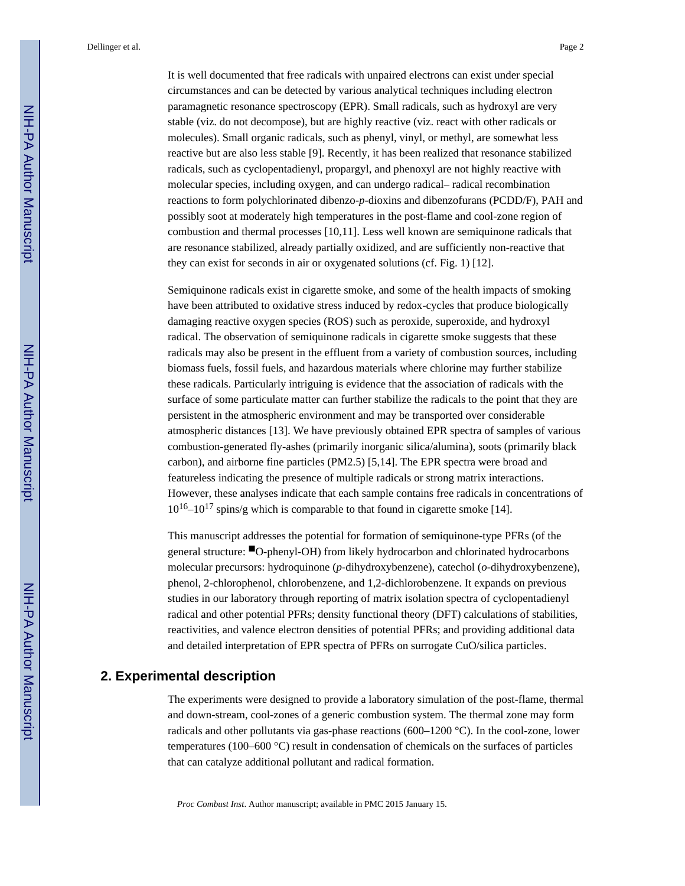It is well documented that free radicals with unpaired electrons can exist under special circumstances and can be detected by various analytical techniques including electron paramagnetic resonance spectroscopy (EPR). Small radicals, such as hydroxyl are very stable (viz. do not decompose), but are highly reactive (viz. react with other radicals or molecules). Small organic radicals, such as phenyl, vinyl, or methyl, are somewhat less reactive but are also less stable [9]. Recently, it has been realized that resonance stabilized radicals, such as cyclopentadienyl, propargyl, and phenoxyl are not highly reactive with molecular species, including oxygen, and can undergo radical– radical recombination reactions to form polychlorinated dibenzo-*p*-dioxins and dibenzofurans (PCDD/F), PAH and possibly soot at moderately high temperatures in the post-flame and cool-zone region of combustion and thermal processes [10,11]. Less well known are semiquinone radicals that are resonance stabilized, already partially oxidized, and are sufficiently non-reactive that they can exist for seconds in air or oxygenated solutions (cf. Fig. 1) [12].

Semiquinone radicals exist in cigarette smoke, and some of the health impacts of smoking have been attributed to oxidative stress induced by redox-cycles that produce biologically damaging reactive oxygen species (ROS) such as peroxide, superoxide, and hydroxyl radical. The observation of semiquinone radicals in cigarette smoke suggests that these radicals may also be present in the effluent from a variety of combustion sources, including biomass fuels, fossil fuels, and hazardous materials where chlorine may further stabilize these radicals. Particularly intriguing is evidence that the association of radicals with the surface of some particulate matter can further stabilize the radicals to the point that they are persistent in the atmospheric environment and may be transported over considerable atmospheric distances [13]. We have previously obtained EPR spectra of samples of various combustion-generated fly-ashes (primarily inorganic silica/alumina), soots (primarily black carbon), and airborne fine particles (PM2.5) [5,14]. The EPR spectra were broad and featureless indicating the presence of multiple radicals or strong matrix interactions. However, these analyses indicate that each sample contains free radicals in concentrations of  $10^{16}$ – $10^{17}$  spins/g which is comparable to that found in cigarette smoke [14].

This manuscript addresses the potential for formation of semiquinone-type PFRs (of the general structure: ■O-phenyl-OH) from likely hydrocarbon and chlorinated hydrocarbons molecular precursors: hydroquinone (*p*-dihydroxybenzene), catechol (*o*-dihydroxybenzene), phenol, 2-chlorophenol, chlorobenzene, and 1,2-dichlorobenzene. It expands on previous studies in our laboratory through reporting of matrix isolation spectra of cyclopentadienyl radical and other potential PFRs; density functional theory (DFT) calculations of stabilities, reactivities, and valence electron densities of potential PFRs; and providing additional data and detailed interpretation of EPR spectra of PFRs on surrogate CuO/silica particles.

## **2. Experimental description**

The experiments were designed to provide a laboratory simulation of the post-flame, thermal and down-stream, cool-zones of a generic combustion system. The thermal zone may form radicals and other pollutants via gas-phase reactions (600–1200 °C). In the cool-zone, lower temperatures (100–600 °C) result in condensation of chemicals on the surfaces of particles that can catalyze additional pollutant and radical formation.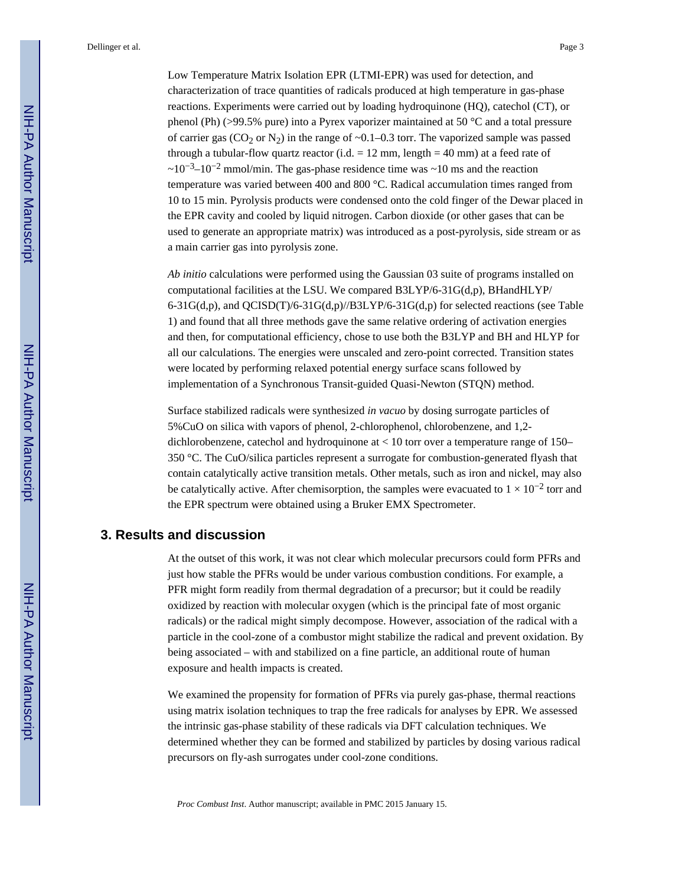Low Temperature Matrix Isolation EPR (LTMI-EPR) was used for detection, and characterization of trace quantities of radicals produced at high temperature in gas-phase reactions. Experiments were carried out by loading hydroquinone (HQ), catechol (CT), or phenol (Ph) (>99.5% pure) into a Pyrex vaporizer maintained at 50 °C and a total pressure of carrier gas (CO<sub>2</sub> or N<sub>2</sub>) in the range of  $\sim$ 0.1–0.3 torr. The vaporized sample was passed through a tubular-flow quartz reactor (i.d.  $= 12$  mm, length  $= 40$  mm) at a feed rate of  $\sim 10^{-3}$ – $10^{-2}$  mmol/min. The gas-phase residence time was  $\sim 10$  ms and the reaction temperature was varied between 400 and 800 °C. Radical accumulation times ranged from 10 to 15 min. Pyrolysis products were condensed onto the cold finger of the Dewar placed in the EPR cavity and cooled by liquid nitrogen. Carbon dioxide (or other gases that can be used to generate an appropriate matrix) was introduced as a post-pyrolysis, side stream or as a main carrier gas into pyrolysis zone.

*Ab initio* calculations were performed using the Gaussian 03 suite of programs installed on computational facilities at the LSU. We compared B3LYP/6-31G(d,p), BHandHLYP/ 6-31G(d,p), and QCISD(T)/6-31G(d,p)//B3LYP/6-31G(d,p) for selected reactions (see Table 1) and found that all three methods gave the same relative ordering of activation energies and then, for computational efficiency, chose to use both the B3LYP and BH and HLYP for all our calculations. The energies were unscaled and zero-point corrected. Transition states were located by performing relaxed potential energy surface scans followed by implementation of a Synchronous Transit-guided Quasi-Newton (STQN) method.

Surface stabilized radicals were synthesized *in vacuo* by dosing surrogate particles of 5%CuO on silica with vapors of phenol, 2-chlorophenol, chlorobenzene, and 1,2 dichlorobenzene, catechol and hydroquinone at < 10 torr over a temperature range of 150– 350 °C. The CuO/silica particles represent a surrogate for combustion-generated flyash that contain catalytically active transition metals. Other metals, such as iron and nickel, may also be catalytically active. After chemisorption, the samples were evacuated to  $1 \times 10^{-2}$  torr and the EPR spectrum were obtained using a Bruker EMX Spectrometer.

# **3. Results and discussion**

At the outset of this work, it was not clear which molecular precursors could form PFRs and just how stable the PFRs would be under various combustion conditions. For example, a PFR might form readily from thermal degradation of a precursor; but it could be readily oxidized by reaction with molecular oxygen (which is the principal fate of most organic radicals) or the radical might simply decompose. However, association of the radical with a particle in the cool-zone of a combustor might stabilize the radical and prevent oxidation. By being associated – with and stabilized on a fine particle, an additional route of human exposure and health impacts is created.

We examined the propensity for formation of PFRs via purely gas-phase, thermal reactions using matrix isolation techniques to trap the free radicals for analyses by EPR. We assessed the intrinsic gas-phase stability of these radicals via DFT calculation techniques. We determined whether they can be formed and stabilized by particles by dosing various radical precursors on fly-ash surrogates under cool-zone conditions.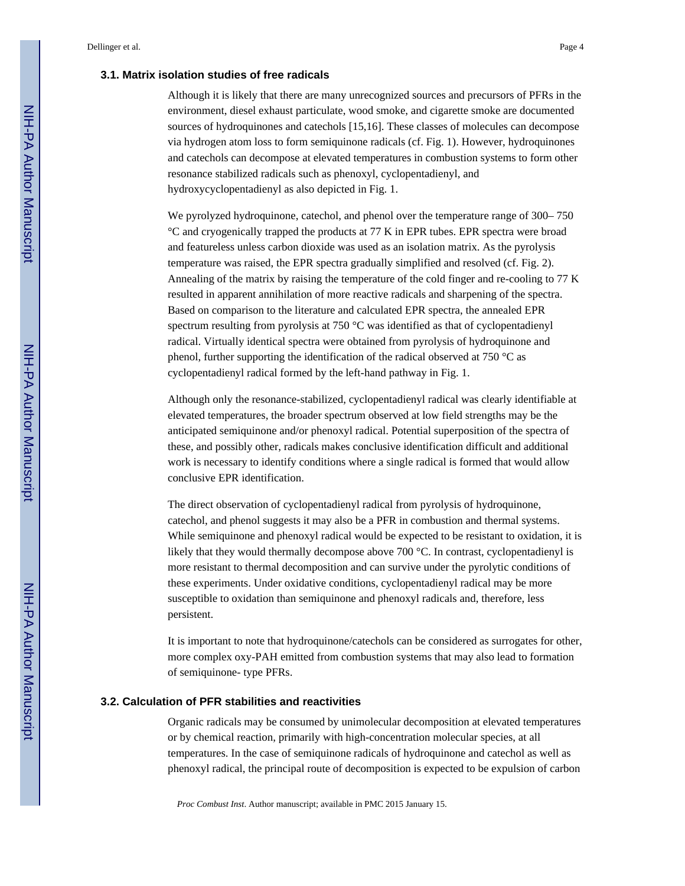#### **3.1. Matrix isolation studies of free radicals**

Although it is likely that there are many unrecognized sources and precursors of PFRs in the environment, diesel exhaust particulate, wood smoke, and cigarette smoke are documented sources of hydroquinones and catechols [15,16]. These classes of molecules can decompose via hydrogen atom loss to form semiquinone radicals (cf. Fig. 1). However, hydroquinones and catechols can decompose at elevated temperatures in combustion systems to form other resonance stabilized radicals such as phenoxyl, cyclopentadienyl, and hydroxycyclopentadienyl as also depicted in Fig. 1.

We pyrolyzed hydroquinone, catechol, and phenol over the temperature range of 300– 750 °C and cryogenically trapped the products at 77 K in EPR tubes. EPR spectra were broad and featureless unless carbon dioxide was used as an isolation matrix. As the pyrolysis temperature was raised, the EPR spectra gradually simplified and resolved (cf. Fig. 2). Annealing of the matrix by raising the temperature of the cold finger and re-cooling to 77 K resulted in apparent annihilation of more reactive radicals and sharpening of the spectra. Based on comparison to the literature and calculated EPR spectra, the annealed EPR spectrum resulting from pyrolysis at 750 °C was identified as that of cyclopentadienyl radical. Virtually identical spectra were obtained from pyrolysis of hydroquinone and phenol, further supporting the identification of the radical observed at 750 °C as cyclopentadienyl radical formed by the left-hand pathway in Fig. 1.

Although only the resonance-stabilized, cyclopentadienyl radical was clearly identifiable at elevated temperatures, the broader spectrum observed at low field strengths may be the anticipated semiquinone and/or phenoxyl radical. Potential superposition of the spectra of these, and possibly other, radicals makes conclusive identification difficult and additional work is necessary to identify conditions where a single radical is formed that would allow conclusive EPR identification.

The direct observation of cyclopentadienyl radical from pyrolysis of hydroquinone, catechol, and phenol suggests it may also be a PFR in combustion and thermal systems. While semiquinone and phenoxyl radical would be expected to be resistant to oxidation, it is likely that they would thermally decompose above 700 °C. In contrast, cyclopentadienyl is more resistant to thermal decomposition and can survive under the pyrolytic conditions of these experiments. Under oxidative conditions, cyclopentadienyl radical may be more susceptible to oxidation than semiquinone and phenoxyl radicals and, therefore, less persistent.

It is important to note that hydroquinone/catechols can be considered as surrogates for other, more complex oxy-PAH emitted from combustion systems that may also lead to formation of semiquinone- type PFRs.

#### **3.2. Calculation of PFR stabilities and reactivities**

Organic radicals may be consumed by unimolecular decomposition at elevated temperatures or by chemical reaction, primarily with high-concentration molecular species, at all temperatures. In the case of semiquinone radicals of hydroquinone and catechol as well as phenoxyl radical, the principal route of decomposition is expected to be expulsion of carbon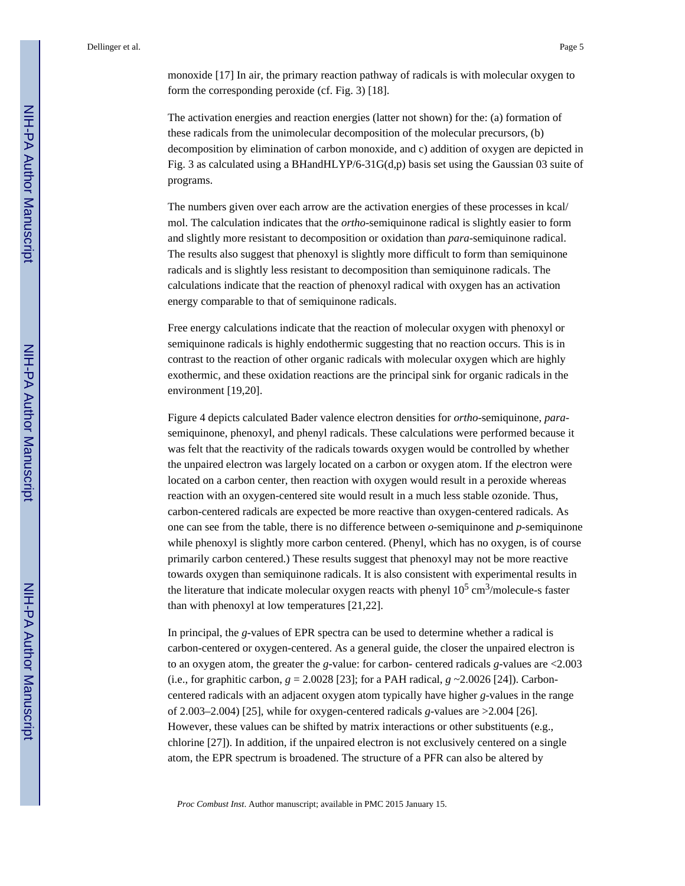monoxide [17] In air, the primary reaction pathway of radicals is with molecular oxygen to form the corresponding peroxide (cf. Fig. 3) [18].

The activation energies and reaction energies (latter not shown) for the: (a) formation of these radicals from the unimolecular decomposition of the molecular precursors, (b) decomposition by elimination of carbon monoxide, and c) addition of oxygen are depicted in Fig. 3 as calculated using a BHandHLYP/6-31G(d,p) basis set using the Gaussian 03 suite of programs.

The numbers given over each arrow are the activation energies of these processes in kcal/ mol. The calculation indicates that the *ortho-*semiquinone radical is slightly easier to form and slightly more resistant to decomposition or oxidation than *para*-semiquinone radical. The results also suggest that phenoxyl is slightly more difficult to form than semiquinone radicals and is slightly less resistant to decomposition than semiquinone radicals. The calculations indicate that the reaction of phenoxyl radical with oxygen has an activation energy comparable to that of semiquinone radicals.

Free energy calculations indicate that the reaction of molecular oxygen with phenoxyl or semiquinone radicals is highly endothermic suggesting that no reaction occurs. This is in contrast to the reaction of other organic radicals with molecular oxygen which are highly exothermic, and these oxidation reactions are the principal sink for organic radicals in the environment [19,20].

Figure 4 depicts calculated Bader valence electron densities for *ortho*-semiquinone, *para*semiquinone, phenoxyl, and phenyl radicals. These calculations were performed because it was felt that the reactivity of the radicals towards oxygen would be controlled by whether the unpaired electron was largely located on a carbon or oxygen atom. If the electron were located on a carbon center, then reaction with oxygen would result in a peroxide whereas reaction with an oxygen-centered site would result in a much less stable ozonide. Thus, carbon-centered radicals are expected be more reactive than oxygen-centered radicals. As one can see from the table, there is no difference between *o*-semiquinone and *p*-semiquinone while phenoxyl is slightly more carbon centered. (Phenyl, which has no oxygen, is of course primarily carbon centered.) These results suggest that phenoxyl may not be more reactive towards oxygen than semiquinone radicals. It is also consistent with experimental results in the literature that indicate molecular oxygen reacts with phenyl  $10^5 \text{ cm}^3/\text{molecule-s}$  faster than with phenoxyl at low temperatures [21,22].

In principal, the *g*-values of EPR spectra can be used to determine whether a radical is carbon-centered or oxygen-centered. As a general guide, the closer the unpaired electron is to an oxygen atom, the greater the *g*-value: for carbon- centered radicals *g*-values are <2.003 (i.e., for graphitic carbon,  $g = 2.0028$  [23]; for a PAH radical,  $g \sim 2.0026$  [24]). Carboncentered radicals with an adjacent oxygen atom typically have higher *g*-values in the range of 2.003–2.004) [25], while for oxygen-centered radicals *g*-values are >2.004 [26]. However, these values can be shifted by matrix interactions or other substituents (e.g., chlorine [27]). In addition, if the unpaired electron is not exclusively centered on a single atom, the EPR spectrum is broadened. The structure of a PFR can also be altered by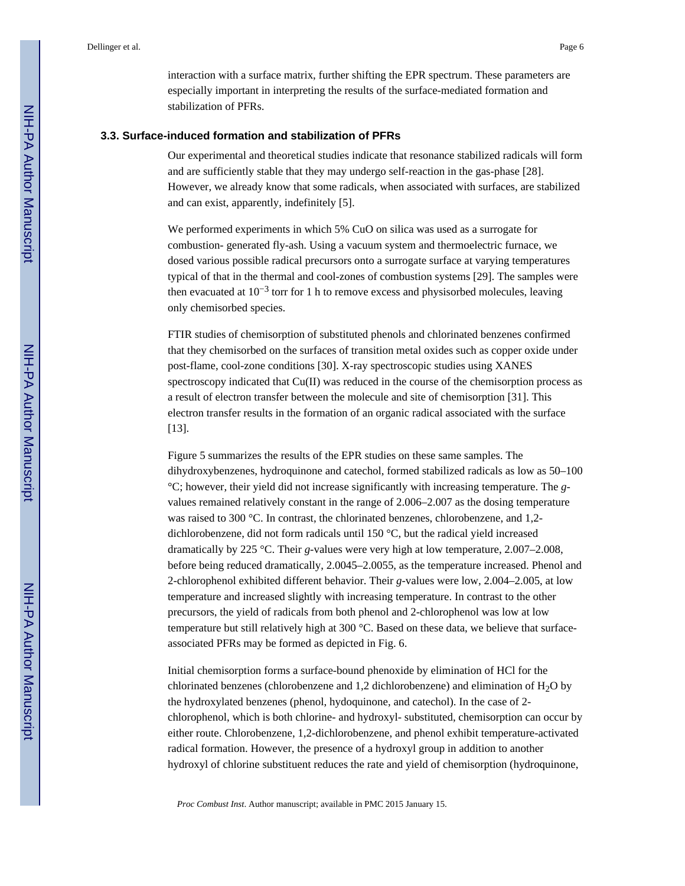interaction with a surface matrix, further shifting the EPR spectrum. These parameters are especially important in interpreting the results of the surface-mediated formation and stabilization of PFRs.

#### **3.3. Surface-induced formation and stabilization of PFRs**

Our experimental and theoretical studies indicate that resonance stabilized radicals will form and are sufficiently stable that they may undergo self-reaction in the gas-phase [28]. However, we already know that some radicals, when associated with surfaces, are stabilized and can exist, apparently, indefinitely [5].

We performed experiments in which 5% CuO on silica was used as a surrogate for combustion- generated fly-ash. Using a vacuum system and thermoelectric furnace, we dosed various possible radical precursors onto a surrogate surface at varying temperatures typical of that in the thermal and cool-zones of combustion systems [29]. The samples were then evacuated at  $10^{-3}$  torr for 1 h to remove excess and physisorbed molecules, leaving only chemisorbed species.

FTIR studies of chemisorption of substituted phenols and chlorinated benzenes confirmed that they chemisorbed on the surfaces of transition metal oxides such as copper oxide under post-flame, cool-zone conditions [30]. X-ray spectroscopic studies using XANES spectroscopy indicated that Cu(II) was reduced in the course of the chemisorption process as a result of electron transfer between the molecule and site of chemisorption [31]. This electron transfer results in the formation of an organic radical associated with the surface [13].

Figure 5 summarizes the results of the EPR studies on these same samples. The dihydroxybenzenes, hydroquinone and catechol, formed stabilized radicals as low as 50–100 °C; however, their yield did not increase significantly with increasing temperature. The *g*values remained relatively constant in the range of 2.006–2.007 as the dosing temperature was raised to 300 °C. In contrast, the chlorinated benzenes, chlorobenzene, and 1,2dichlorobenzene, did not form radicals until 150 °C, but the radical yield increased dramatically by 225 °C. Their *g*-values were very high at low temperature, 2.007–2.008, before being reduced dramatically, 2.0045–2.0055, as the temperature increased. Phenol and 2-chlorophenol exhibited different behavior. Their *g*-values were low, 2.004–2.005, at low temperature and increased slightly with increasing temperature. In contrast to the other precursors, the yield of radicals from both phenol and 2-chlorophenol was low at low temperature but still relatively high at 300 °C. Based on these data, we believe that surfaceassociated PFRs may be formed as depicted in Fig. 6.

Initial chemisorption forms a surface-bound phenoxide by elimination of HCl for the chlorinated benzenes (chlorobenzene and 1,2 dichlorobenzene) and elimination of  $H_2O$  by the hydroxylated benzenes (phenol, hydoquinone, and catechol). In the case of 2 chlorophenol, which is both chlorine- and hydroxyl- substituted, chemisorption can occur by either route. Chlorobenzene, 1,2-dichlorobenzene, and phenol exhibit temperature-activated radical formation. However, the presence of a hydroxyl group in addition to another hydroxyl of chlorine substituent reduces the rate and yield of chemisorption (hydroquinone,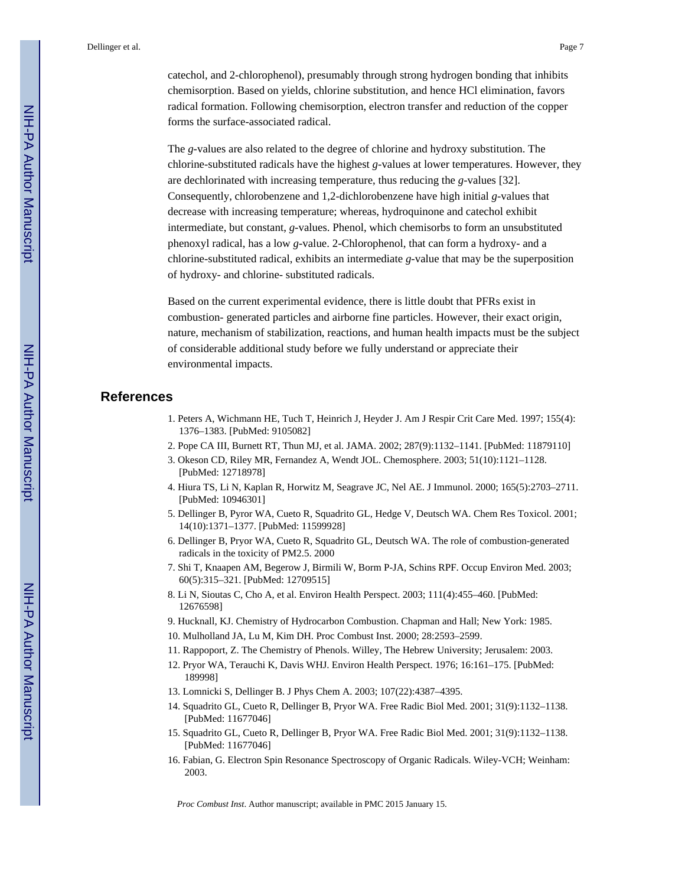catechol, and 2-chlorophenol), presumably through strong hydrogen bonding that inhibits chemisorption. Based on yields, chlorine substitution, and hence HCl elimination, favors radical formation. Following chemisorption, electron transfer and reduction of the copper forms the surface-associated radical.

The *g*-values are also related to the degree of chlorine and hydroxy substitution. The chlorine-substituted radicals have the highest *g*-values at lower temperatures. However, they are dechlorinated with increasing temperature, thus reducing the *g*-values [32]. Consequently, chlorobenzene and 1,2-dichlorobenzene have high initial *g*-values that decrease with increasing temperature; whereas, hydroquinone and catechol exhibit intermediate, but constant, *g*-values. Phenol, which chemisorbs to form an unsubstituted phenoxyl radical, has a low *g*-value. 2-Chlorophenol, that can form a hydroxy- and a chlorine-substituted radical, exhibits an intermediate *g*-value that may be the superposition of hydroxy- and chlorine- substituted radicals.

Based on the current experimental evidence, there is little doubt that PFRs exist in combustion- generated particles and airborne fine particles. However, their exact origin, nature, mechanism of stabilization, reactions, and human health impacts must be the subject of considerable additional study before we fully understand or appreciate their environmental impacts.

### **References**

- 1. Peters A, Wichmann HE, Tuch T, Heinrich J, Heyder J. Am J Respir Crit Care Med. 1997; 155(4): 1376–1383. [PubMed: 9105082]
- 2. Pope CA III, Burnett RT, Thun MJ, et al. JAMA. 2002; 287(9):1132–1141. [PubMed: 11879110]
- 3. Okeson CD, Riley MR, Fernandez A, Wendt JOL. Chemosphere. 2003; 51(10):1121–1128. [PubMed: 12718978]
- 4. Hiura TS, Li N, Kaplan R, Horwitz M, Seagrave JC, Nel AE. J Immunol. 2000; 165(5):2703–2711. [PubMed: 10946301]
- 5. Dellinger B, Pyror WA, Cueto R, Squadrito GL, Hedge V, Deutsch WA. Chem Res Toxicol. 2001; 14(10):1371–1377. [PubMed: 11599928]
- 6. Dellinger B, Pryor WA, Cueto R, Squadrito GL, Deutsch WA. The role of combustion-generated radicals in the toxicity of PM2.5. 2000
- 7. Shi T, Knaapen AM, Begerow J, Birmili W, Borm P-JA, Schins RPF. Occup Environ Med. 2003; 60(5):315–321. [PubMed: 12709515]
- 8. Li N, Sioutas C, Cho A, et al. Environ Health Perspect. 2003; 111(4):455–460. [PubMed: 12676598]
- 9. Hucknall, KJ. Chemistry of Hydrocarbon Combustion. Chapman and Hall; New York: 1985.
- 10. Mulholland JA, Lu M, Kim DH. Proc Combust Inst. 2000; 28:2593–2599.
- 11. Rappoport, Z. The Chemistry of Phenols. Willey, The Hebrew University; Jerusalem: 2003.
- 12. Pryor WA, Terauchi K, Davis WHJ. Environ Health Perspect. 1976; 16:161–175. [PubMed: 189998]
- 13. Lomnicki S, Dellinger B. J Phys Chem A. 2003; 107(22):4387–4395.
- 14. Squadrito GL, Cueto R, Dellinger B, Pryor WA. Free Radic Biol Med. 2001; 31(9):1132–1138. [PubMed: 11677046]
- 15. Squadrito GL, Cueto R, Dellinger B, Pryor WA. Free Radic Biol Med. 2001; 31(9):1132–1138. [PubMed: 11677046]
- 16. Fabian, G. Electron Spin Resonance Spectroscopy of Organic Radicals. Wiley-VCH; Weinham: 2003.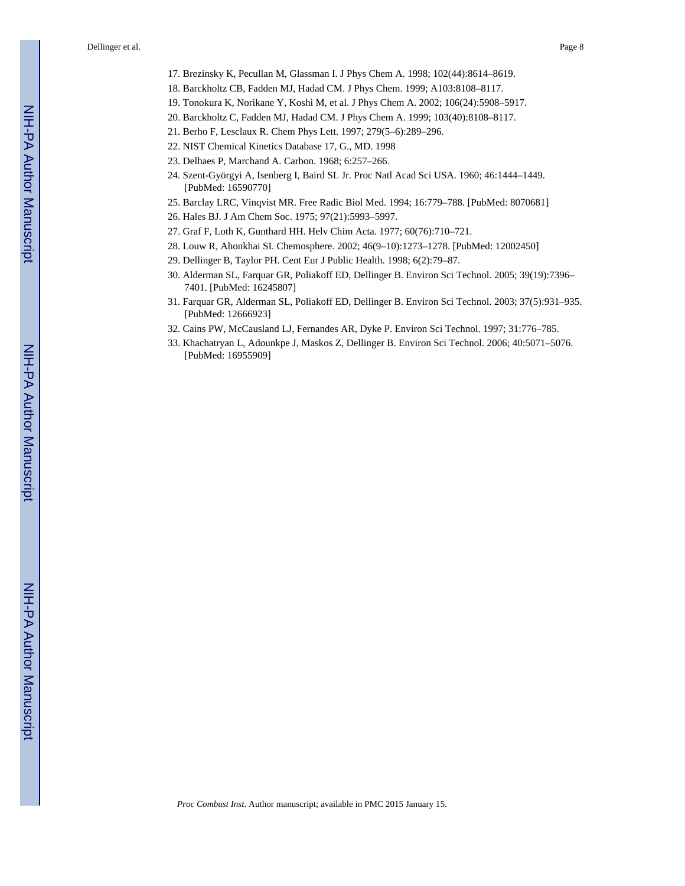- 17. Brezinsky K, Pecullan M, Glassman I. J Phys Chem A. 1998; 102(44):8614–8619.
- 18. Barckholtz CB, Fadden MJ, Hadad CM. J Phys Chem. 1999; A103:8108–8117.
- 19. Tonokura K, Norikane Y, Koshi M, et al. J Phys Chem A. 2002; 106(24):5908–5917.
- 20. Barckholtz C, Fadden MJ, Hadad CM. J Phys Chem A. 1999; 103(40):8108–8117.
- 21. Berho F, Lesclaux R. Chem Phys Lett. 1997; 279(5–6):289–296.
- 22. NIST Chemical Kinetics Database 17, G., MD. 1998
- 23. Delhaes P, Marchand A. Carbon. 1968; 6:257–266.
- 24. Szent-Györgyi A, Isenberg I, Baird SL Jr. Proc Natl Acad Sci USA. 1960; 46:1444–1449. [PubMed: 16590770]
- 25. Barclay LRC, Vinqvist MR. Free Radic Biol Med. 1994; 16:779–788. [PubMed: 8070681]
- 26. Hales BJ. J Am Chem Soc. 1975; 97(21):5993–5997.
- 27. Graf F, Loth K, Gunthard HH. Helv Chim Acta. 1977; 60(76):710–721.
- 28. Louw R, Ahonkhai SI. Chemosphere. 2002; 46(9–10):1273–1278. [PubMed: 12002450]
- 29. Dellinger B, Taylor PH. Cent Eur J Public Health. 1998; 6(2):79–87.
- 30. Alderman SL, Farquar GR, Poliakoff ED, Dellinger B. Environ Sci Technol. 2005; 39(19):7396– 7401. [PubMed: 16245807]
- 31. Farquar GR, Alderman SL, Poliakoff ED, Dellinger B. Environ Sci Technol. 2003; 37(5):931–935. [PubMed: 12666923]
- 32. Cains PW, McCausland LJ, Fernandes AR, Dyke P. Environ Sci Technol. 1997; 31:776–785.
- 33. Khachatryan L, Adounkpe J, Maskos Z, Dellinger B. Environ Sci Technol. 2006; 40:5071–5076. [PubMed: 16955909]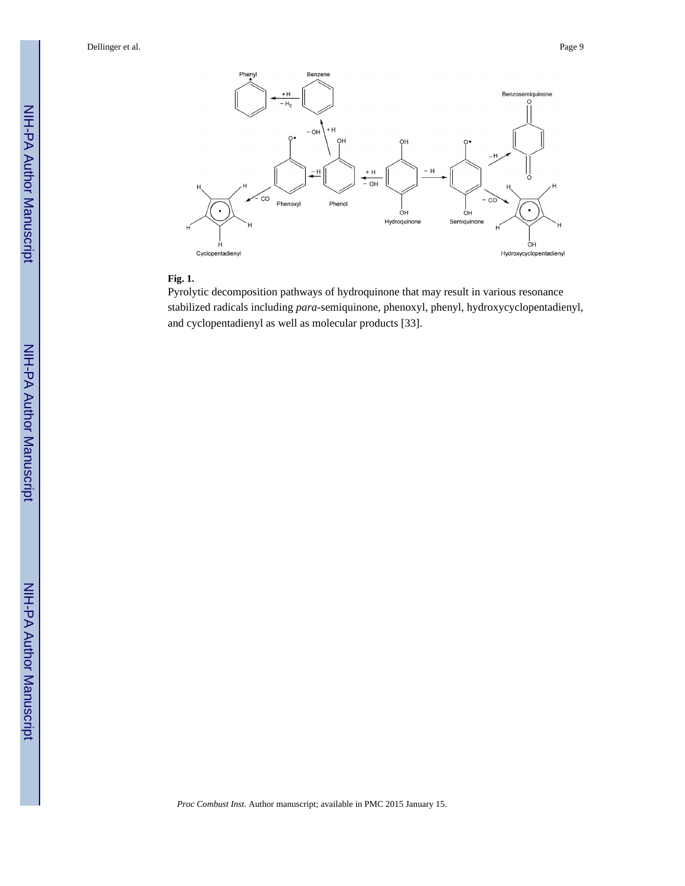

#### **Fig. 1.**

Pyrolytic decomposition pathways of hydroquinone that may result in various resonance stabilized radicals including *para*-semiquinone, phenoxyl, phenyl, hydroxycyclopentadienyl, and cyclopentadienyl as well as molecular products [33].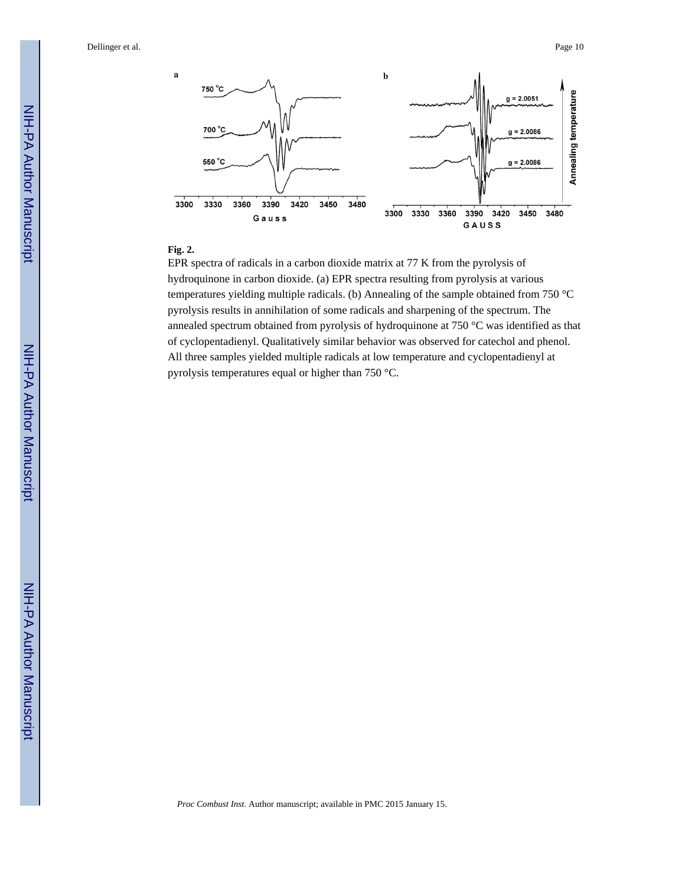

## **Fig. 2.**

EPR spectra of radicals in a carbon dioxide matrix at 77 K from the pyrolysis of hydroquinone in carbon dioxide. (a) EPR spectra resulting from pyrolysis at various temperatures yielding multiple radicals. (b) Annealing of the sample obtained from 750 °C pyrolysis results in annihilation of some radicals and sharpening of the spectrum. The annealed spectrum obtained from pyrolysis of hydroquinone at 750 °C was identified as that of cyclopentadienyl. Qualitatively similar behavior was observed for catechol and phenol. All three samples yielded multiple radicals at low temperature and cyclopentadienyl at pyrolysis temperatures equal or higher than 750 °C.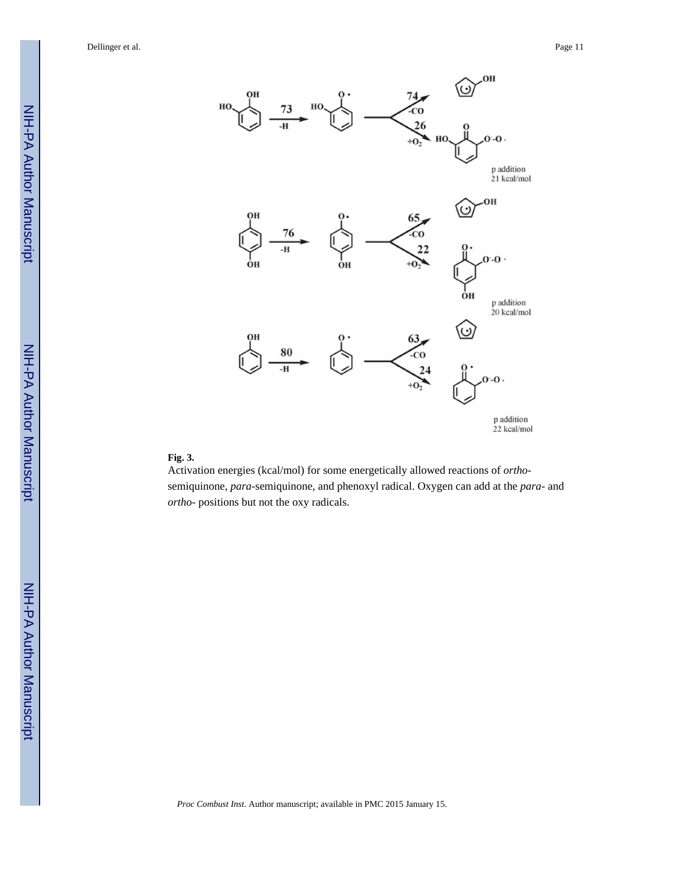

### **Fig. 3.**

Activation energies (kcal/mol) for some energetically allowed reactions of *ortho*semiquinone, *para-*semiquinone, and phenoxyl radical. Oxygen can add at the *para*- and *ortho*- positions but not the oxy radicals.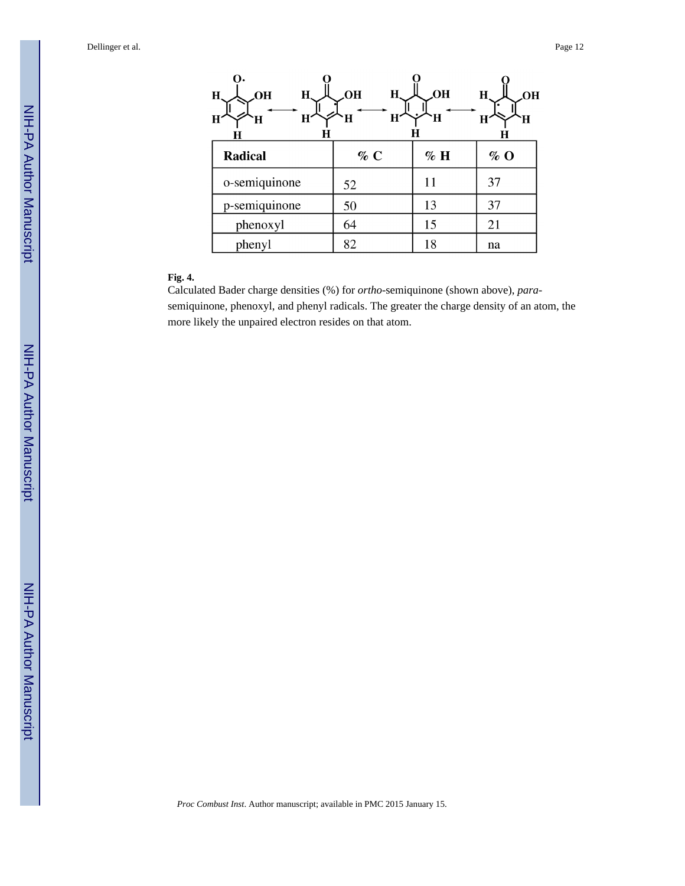| О.<br>H.<br>Н.<br>HO.<br>Н<br>$\mathbf{H}$<br>Н<br>Н<br>н | HO.<br>H<br>Н<br>Н | HO.<br>H<br>Н | H<br>OН<br>н<br>Н<br>Н |
|-----------------------------------------------------------|--------------------|---------------|------------------------|
| <b>Radical</b>                                            | $\%$ C             | $\%$ H        | $\%$ O                 |
| o-semiquinone                                             | 52                 | 11            | 37                     |
| p-semiquinone                                             | 50                 | 13            | 37                     |
| phenoxyl                                                  | 64                 | 15            | 21                     |
| phenyl                                                    | 82                 | 18            | na                     |

## **Fig. 4.**

Calculated Bader charge densities (%) for *ortho-*semiquinone (shown above), *para*semiquinone, phenoxyl, and phenyl radicals. The greater the charge density of an atom, the more likely the unpaired electron resides on that atom.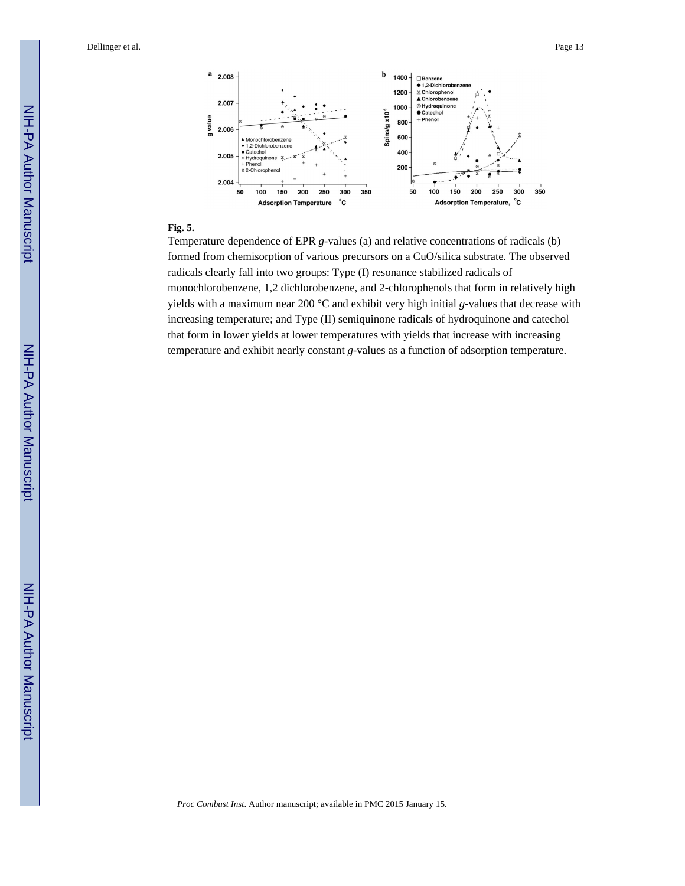

### **Fig. 5.**

Temperature dependence of EPR *g*-values (a) and relative concentrations of radicals (b) formed from chemisorption of various precursors on a CuO/silica substrate. The observed radicals clearly fall into two groups: Type (I) resonance stabilized radicals of monochlorobenzene, 1,2 dichlorobenzene, and 2-chlorophenols that form in relatively high yields with a maximum near 200 °C and exhibit very high initial *g*-values that decrease with increasing temperature; and Type (II) semiquinone radicals of hydroquinone and catechol that form in lower yields at lower temperatures with yields that increase with increasing temperature and exhibit nearly constant *g*-values as a function of adsorption temperature.